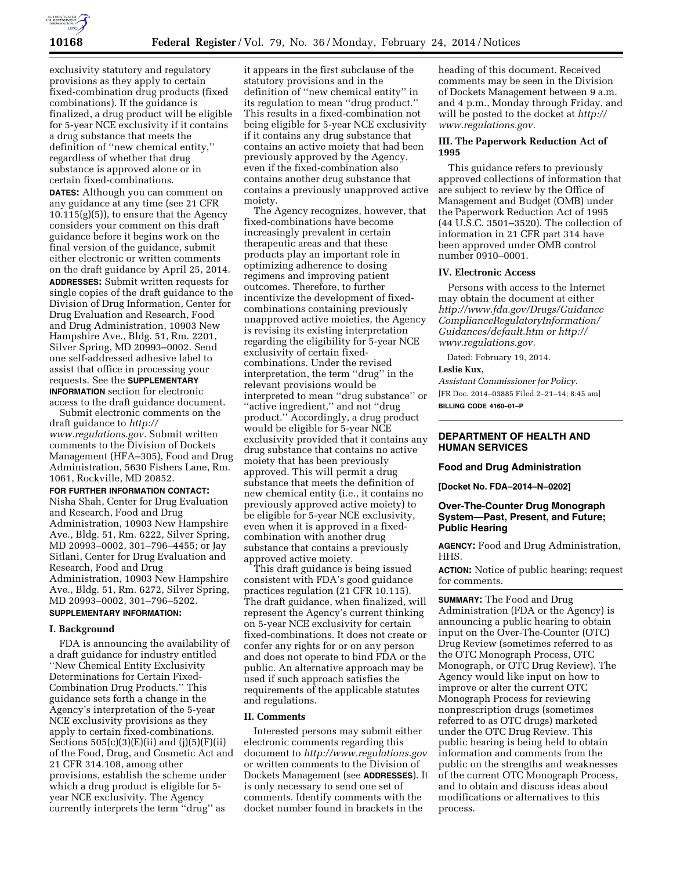

exclusivity statutory and regulatory provisions as they apply to certain fixed-combination drug products (fixed combinations). If the guidance is finalized, a drug product will be eligible for 5-year NCE exclusivity if it contains a drug substance that meets the definition of ''new chemical entity,'' regardless of whether that drug substance is approved alone or in certain fixed-combinations.

**DATES:** Although you can comment on any guidance at any time (see 21 CFR  $10.115(g)(5)$ , to ensure that the Agency considers your comment on this draft guidance before it begins work on the final version of the guidance, submit either electronic or written comments on the draft guidance by April 25, 2014. **ADDRESSES:** Submit written requests for single copies of the draft guidance to the Division of Drug Information, Center for Drug Evaluation and Research, Food and Drug Administration, 10903 New Hampshire Ave., Bldg. 51, Rm. 2201, Silver Spring, MD 20993–0002. Send one self-addressed adhesive label to assist that office in processing your requests. See the **SUPPLEMENTARY INFORMATION** section for electronic access to the draft guidance document.

Submit electronic comments on the draft guidance to *[http://](http://www.regulations.gov)  [www.regulations.gov.](http://www.regulations.gov)* Submit written comments to the Division of Dockets Management (HFA–305), Food and Drug Administration, 5630 Fishers Lane, Rm. 1061, Rockville, MD 20852.

**FOR FURTHER INFORMATION CONTACT:** 

Nisha Shah, Center for Drug Evaluation and Research, Food and Drug Administration, 10903 New Hampshire Ave., Bldg. 51, Rm. 6222, Silver Spring, MD 20993–0002, 301–796–4455; or Jay Sitlani, Center for Drug Evaluation and Research, Food and Drug Administration, 10903 New Hampshire Ave., Bldg. 51, Rm. 6272, Silver Spring, MD 20993–0002, 301–796–5202.

### **SUPPLEMENTARY INFORMATION:**

## **I. Background**

FDA is announcing the availability of a draft guidance for industry entitled ''New Chemical Entity Exclusivity Determinations for Certain Fixed-Combination Drug Products.'' This guidance sets forth a change in the Agency's interpretation of the 5-year NCE exclusivity provisions as they apply to certain fixed-combinations. Sections  $505(c)(3)(E)(ii)$  and  $(j)(5)(F)(ii)$ of the Food, Drug, and Cosmetic Act and 21 CFR 314.108, among other provisions, establish the scheme under which a drug product is eligible for 5 year NCE exclusivity. The Agency currently interprets the term ''drug'' as

it appears in the first subclause of the statutory provisions and in the definition of ''new chemical entity'' in its regulation to mean ''drug product.'' This results in a fixed-combination not being eligible for 5-year NCE exclusivity if it contains any drug substance that contains an active moiety that had been previously approved by the Agency, even if the fixed-combination also contains another drug substance that contains a previously unapproved active moiety.

The Agency recognizes, however, that fixed-combinations have become increasingly prevalent in certain therapeutic areas and that these products play an important role in optimizing adherence to dosing regimens and improving patient outcomes. Therefore, to further incentivize the development of fixedcombinations containing previously unapproved active moieties, the Agency is revising its existing interpretation regarding the eligibility for 5-year NCE exclusivity of certain fixedcombinations. Under the revised interpretation, the term ''drug'' in the relevant provisions would be interpreted to mean ''drug substance'' or ''active ingredient,'' and not ''drug product.'' Accordingly, a drug product would be eligible for 5-year NCE exclusivity provided that it contains any drug substance that contains no active moiety that has been previously approved. This will permit a drug substance that meets the definition of new chemical entity (i.e., it contains no previously approved active moiety) to be eligible for 5-year NCE exclusivity, even when it is approved in a fixedcombination with another drug substance that contains a previously approved active moiety.

This draft guidance is being issued consistent with FDA's good guidance practices regulation (21 CFR 10.115). The draft guidance, when finalized, will represent the Agency's current thinking on 5-year NCE exclusivity for certain fixed-combinations. It does not create or confer any rights for or on any person and does not operate to bind FDA or the public. An alternative approach may be used if such approach satisfies the requirements of the applicable statutes and regulations.

### **II. Comments**

Interested persons may submit either electronic comments regarding this document to *<http://www.regulations.gov>* or written comments to the Division of Dockets Management (see **ADDRESSES**). It is only necessary to send one set of comments. Identify comments with the docket number found in brackets in the

heading of this document. Received comments may be seen in the Division of Dockets Management between 9 a.m. and 4 p.m., Monday through Friday, and will be posted to the docket at *[http://](http://www.regulations.gov) [www.regulations.gov.](http://www.regulations.gov)* 

### **III. The Paperwork Reduction Act of 1995**

This guidance refers to previously approved collections of information that are subject to review by the Office of Management and Budget (OMB) under the Paperwork Reduction Act of 1995 (44 U.S.C. 3501–3520). The collection of information in 21 CFR part 314 have been approved under OMB control number 0910–0001.

#### **IV. Electronic Access**

Persons with access to the Internet may obtain the document at either *[http://www.fda.gov/Drugs/Guidance](http://www.fda.gov/Drugs/GuidanceComplianceRegulatoryInformation/Guidances/default.htm) [ComplianceRegulatoryInformation/](http://www.fda.gov/Drugs/GuidanceComplianceRegulatoryInformation/Guidances/default.htm) [Guidances/default.htm](http://www.fda.gov/Drugs/GuidanceComplianceRegulatoryInformation/Guidances/default.htm) or [http://](http://www.regulations.gov)  [www.regulations.gov.](http://www.regulations.gov)* 

Dated: February 19, 2014.

### **Leslie Kux,**

*Assistant Commissioner for Policy.*  [FR Doc. 2014–03885 Filed 2–21–14; 8:45 am] **BILLING CODE 4160–01–P** 

## **DEPARTMENT OF HEALTH AND HUMAN SERVICES**

#### **Food and Drug Administration**

**[Docket No. FDA–2014–N–0202]** 

## **Over-The-Counter Drug Monograph System—Past, Present, and Future; Public Hearing**

**AGENCY:** Food and Drug Administration, HHS.

**ACTION:** Notice of public hearing; request for comments.

**SUMMARY:** The Food and Drug Administration (FDA or the Agency) is announcing a public hearing to obtain input on the Over-The-Counter (OTC) Drug Review (sometimes referred to as the OTC Monograph Process, OTC Monograph, or OTC Drug Review). The Agency would like input on how to improve or alter the current OTC Monograph Process for reviewing nonprescription drugs (sometimes referred to as OTC drugs) marketed under the OTC Drug Review. This public hearing is being held to obtain information and comments from the public on the strengths and weaknesses of the current OTC Monograph Process, and to obtain and discuss ideas about modifications or alternatives to this process.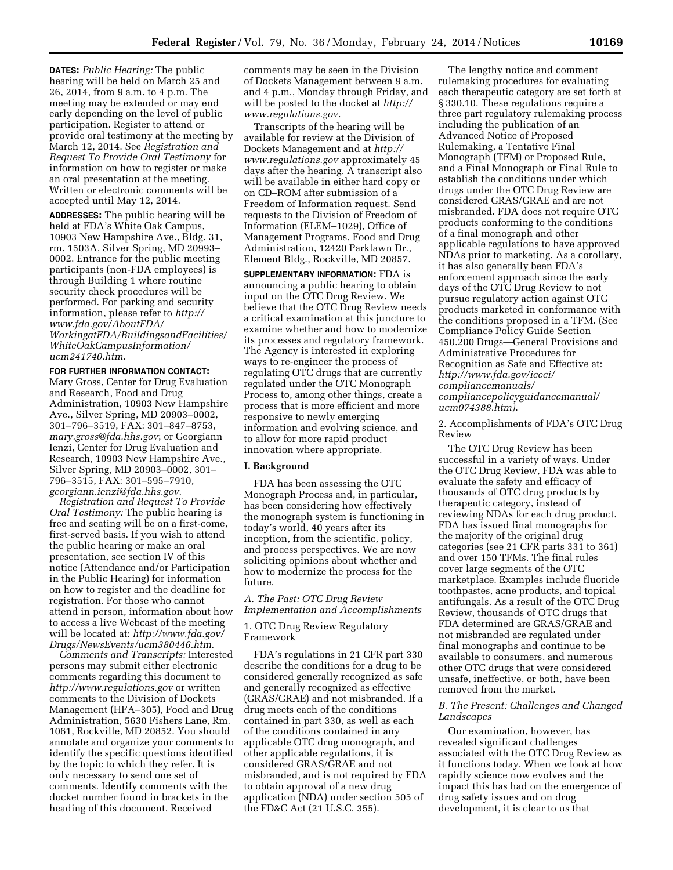**DATES:** *Public Hearing:* The public hearing will be held on March 25 and 26, 2014, from 9 a.m. to 4 p.m. The meeting may be extended or may end early depending on the level of public participation. Register to attend or provide oral testimony at the meeting by March 12, 2014. See *Registration and Request To Provide Oral Testimony* for information on how to register or make an oral presentation at the meeting. Written or electronic comments will be accepted until May 12, 2014.

**ADDRESSES:** The public hearing will be held at FDA's White Oak Campus, 10903 New Hampshire Ave., Bldg. 31, rm. 1503A, Silver Spring, MD 20993– 0002. Entrance for the public meeting participants (non-FDA employees) is through Building 1 where routine security check procedures will be performed. For parking and security information, please refer to *[http://](http://www.fda.gov/AboutFDA/WorkingatFDA/BuildingsandFacilities/WhiteOakCampusInformation/ucm241740.htm) [www.fda.gov/AboutFDA/](http://www.fda.gov/AboutFDA/WorkingatFDA/BuildingsandFacilities/WhiteOakCampusInformation/ucm241740.htm)*

*[WorkingatFDA/BuildingsandFacilities/](http://www.fda.gov/AboutFDA/WorkingatFDA/BuildingsandFacilities/WhiteOakCampusInformation/ucm241740.htm) [WhiteOakCampusInformation/](http://www.fda.gov/AboutFDA/WorkingatFDA/BuildingsandFacilities/WhiteOakCampusInformation/ucm241740.htm) [ucm241740.htm](http://www.fda.gov/AboutFDA/WorkingatFDA/BuildingsandFacilities/WhiteOakCampusInformation/ucm241740.htm)*.

### **FOR FURTHER INFORMATION CONTACT:**

Mary Gross, Center for Drug Evaluation and Research, Food and Drug Administration, 10903 New Hampshire Ave., Silver Spring, MD 20903–0002, 301–796–3519, FAX: 301–847–8753, *[mary.gross@fda.hhs.gov](mailto:mary.gross@fda.hhs.gov)*; or Georgiann Ienzi, Center for Drug Evaluation and Research, 10903 New Hampshire Ave., Silver Spring, MD 20903–0002, 301– 796–3515, FAX: 301–595–7910, *[georgiann.ienzi@fda.hhs.gov](mailto:georgiann.ienzi@fda.hhs.gov)*.

*Registration and Request To Provide Oral Testimony:* The public hearing is free and seating will be on a first-come, first-served basis. If you wish to attend the public hearing or make an oral presentation, see section IV of this notice (Attendance and/or Participation in the Public Hearing) for information on how to register and the deadline for registration. For those who cannot attend in person, information about how to access a live Webcast of the meeting will be located at: *[http://www.fda.gov/](http://www.fda.gov/Drugs/NewsEvents/ucm380446.htm) [Drugs/NewsEvents/ucm380446.htm](http://www.fda.gov/Drugs/NewsEvents/ucm380446.htm)*.

*Comments and Transcripts:* Interested persons may submit either electronic comments regarding this document to *<http://www.regulations.gov>* or written comments to the Division of Dockets Management (HFA–305), Food and Drug Administration, 5630 Fishers Lane, Rm. 1061, Rockville, MD 20852. You should annotate and organize your comments to identify the specific questions identified by the topic to which they refer. It is only necessary to send one set of comments. Identify comments with the docket number found in brackets in the heading of this document. Received

comments may be seen in the Division of Dockets Management between 9 a.m. and 4 p.m., Monday through Friday, and will be posted to the docket at *[http://](http://www.regulations.gov) [www.regulations.gov](http://www.regulations.gov)*.

Transcripts of the hearing will be available for review at the Division of Dockets Management and at *[http://](http://www.regulations.gov) [www.regulations.gov](http://www.regulations.gov)* approximately 45 days after the hearing. A transcript also will be available in either hard copy or on CD–ROM after submission of a Freedom of Information request. Send requests to the Division of Freedom of Information (ELEM–1029), Office of Management Programs, Food and Drug Administration, 12420 Parklawn Dr., Element Bldg., Rockville, MD 20857.

**SUPPLEMENTARY INFORMATION:** FDA is announcing a public hearing to obtain input on the OTC Drug Review. We believe that the OTC Drug Review needs a critical examination at this juncture to examine whether and how to modernize its processes and regulatory framework. The Agency is interested in exploring ways to re-engineer the process of regulating OTC drugs that are currently regulated under the OTC Monograph Process to, among other things, create a process that is more efficient and more responsive to newly emerging information and evolving science, and to allow for more rapid product innovation where appropriate.

### **I. Background**

FDA has been assessing the OTC Monograph Process and, in particular, has been considering how effectively the monograph system is functioning in today's world, 40 years after its inception, from the scientific, policy, and process perspectives. We are now soliciting opinions about whether and how to modernize the process for the future.

*A. The Past: OTC Drug Review Implementation and Accomplishments* 

# 1. OTC Drug Review Regulatory Framework

FDA's regulations in 21 CFR part 330 describe the conditions for a drug to be considered generally recognized as safe and generally recognized as effective (GRAS/GRAE) and not misbranded. If a drug meets each of the conditions contained in part 330, as well as each of the conditions contained in any applicable OTC drug monograph, and other applicable regulations, it is considered GRAS/GRAE and not misbranded, and is not required by FDA to obtain approval of a new drug application (NDA) under section 505 of the FD&C Act (21 U.S.C. 355).

The lengthy notice and comment rulemaking procedures for evaluating each therapeutic category are set forth at § 330.10. These regulations require a three part regulatory rulemaking process including the publication of an Advanced Notice of Proposed Rulemaking, a Tentative Final Monograph (TFM) or Proposed Rule, and a Final Monograph or Final Rule to establish the conditions under which drugs under the OTC Drug Review are considered GRAS/GRAE and are not misbranded. FDA does not require OTC products conforming to the conditions of a final monograph and other applicable regulations to have approved NDAs prior to marketing. As a corollary, it has also generally been FDA's enforcement approach since the early days of the OTC Drug Review to not pursue regulatory action against OTC products marketed in conformance with the conditions proposed in a TFM. (See Compliance Policy Guide Section 450.200 Drugs—General Provisions and Administrative Procedures for Recognition as Safe and Effective at: *[http://www.fda.gov/iceci/](http://www.fda.gov/iceci/compliancemanuals/compliancepolicyguidancemanual/ucm074388.htm) [compliancemanuals/](http://www.fda.gov/iceci/compliancemanuals/compliancepolicyguidancemanual/ucm074388.htm) [compliancepolicyguidancemanual/](http://www.fda.gov/iceci/compliancemanuals/compliancepolicyguidancemanual/ucm074388.htm) [ucm074388.htm\)](http://www.fda.gov/iceci/compliancemanuals/compliancepolicyguidancemanual/ucm074388.htm)*.

2. Accomplishments of FDA's OTC Drug Review

The OTC Drug Review has been successful in a variety of ways. Under the OTC Drug Review, FDA was able to evaluate the safety and efficacy of thousands of OTC drug products by therapeutic category, instead of reviewing NDAs for each drug product. FDA has issued final monographs for the majority of the original drug categories (see 21 CFR parts 331 to 361) and over 150 TFMs. The final rules cover large segments of the OTC marketplace. Examples include fluoride toothpastes, acne products, and topical antifungals. As a result of the OTC Drug Review, thousands of OTC drugs that FDA determined are GRAS/GRAE and not misbranded are regulated under final monographs and continue to be available to consumers, and numerous other OTC drugs that were considered unsafe, ineffective, or both, have been removed from the market.

## *B. The Present: Challenges and Changed Landscapes*

Our examination, however, has revealed significant challenges associated with the OTC Drug Review as it functions today. When we look at how rapidly science now evolves and the impact this has had on the emergence of drug safety issues and on drug development, it is clear to us that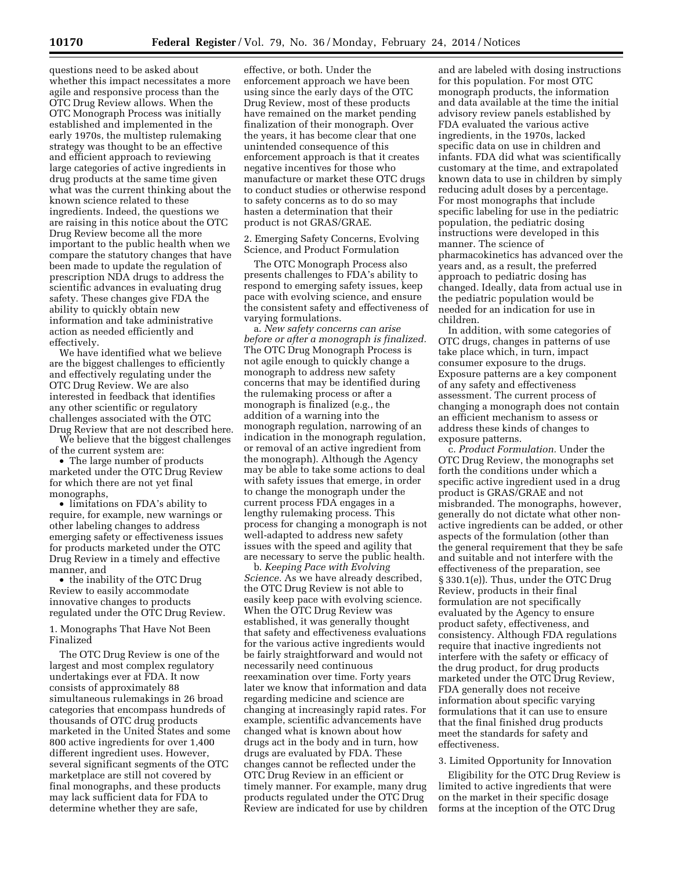questions need to be asked about whether this impact necessitates a more agile and responsive process than the OTC Drug Review allows. When the OTC Monograph Process was initially established and implemented in the early 1970s, the multistep rulemaking strategy was thought to be an effective and efficient approach to reviewing large categories of active ingredients in drug products at the same time given what was the current thinking about the known science related to these ingredients. Indeed, the questions we are raising in this notice about the OTC Drug Review become all the more important to the public health when we compare the statutory changes that have been made to update the regulation of prescription NDA drugs to address the scientific advances in evaluating drug safety. These changes give FDA the ability to quickly obtain new information and take administrative action as needed efficiently and effectively.

We have identified what we believe are the biggest challenges to efficiently and effectively regulating under the OTC Drug Review. We are also interested in feedback that identifies any other scientific or regulatory challenges associated with the OTC Drug Review that are not described here.

We believe that the biggest challenges of the current system are:

• The large number of products marketed under the OTC Drug Review for which there are not yet final monographs,

• limitations on FDA's ability to require, for example, new warnings or other labeling changes to address emerging safety or effectiveness issues for products marketed under the OTC Drug Review in a timely and effective manner, and

• the inability of the OTC Drug Review to easily accommodate innovative changes to products regulated under the OTC Drug Review.

1. Monographs That Have Not Been Finalized

The OTC Drug Review is one of the largest and most complex regulatory undertakings ever at FDA. It now consists of approximately 88 simultaneous rulemakings in 26 broad categories that encompass hundreds of thousands of OTC drug products marketed in the United States and some 800 active ingredients for over 1,400 different ingredient uses. However, several significant segments of the OTC marketplace are still not covered by final monographs, and these products may lack sufficient data for FDA to determine whether they are safe,

effective, or both. Under the enforcement approach we have been using since the early days of the OTC Drug Review, most of these products have remained on the market pending finalization of their monograph. Over the years, it has become clear that one unintended consequence of this enforcement approach is that it creates negative incentives for those who manufacture or market these OTC drugs to conduct studies or otherwise respond to safety concerns as to do so may hasten a determination that their product is not GRAS/GRAE.

2. Emerging Safety Concerns, Evolving Science, and Product Formulation

The OTC Monograph Process also presents challenges to FDA's ability to respond to emerging safety issues, keep pace with evolving science, and ensure the consistent safety and effectiveness of varying formulations.

a. *New safety concerns can arise before or after a monograph is finalized.*  The OTC Drug Monograph Process is not agile enough to quickly change a monograph to address new safety concerns that may be identified during the rulemaking process or after a monograph is finalized (e.g., the addition of a warning into the monograph regulation, narrowing of an indication in the monograph regulation, or removal of an active ingredient from the monograph). Although the Agency may be able to take some actions to deal with safety issues that emerge, in order to change the monograph under the current process FDA engages in a lengthy rulemaking process. This process for changing a monograph is not well-adapted to address new safety issues with the speed and agility that are necessary to serve the public health.

b. *Keeping Pace with Evolving Science.* As we have already described, the OTC Drug Review is not able to easily keep pace with evolving science. When the OTC Drug Review was established, it was generally thought that safety and effectiveness evaluations for the various active ingredients would be fairly straightforward and would not necessarily need continuous reexamination over time. Forty years later we know that information and data regarding medicine and science are changing at increasingly rapid rates. For example, scientific advancements have changed what is known about how drugs act in the body and in turn, how drugs are evaluated by FDA. These changes cannot be reflected under the OTC Drug Review in an efficient or timely manner. For example, many drug products regulated under the OTC Drug Review are indicated for use by children

and are labeled with dosing instructions for this population. For most OTC monograph products, the information and data available at the time the initial advisory review panels established by FDA evaluated the various active ingredients, in the 1970s, lacked specific data on use in children and infants. FDA did what was scientifically customary at the time, and extrapolated known data to use in children by simply reducing adult doses by a percentage. For most monographs that include specific labeling for use in the pediatric population, the pediatric dosing instructions were developed in this manner. The science of pharmacokinetics has advanced over the years and, as a result, the preferred approach to pediatric dosing has changed. Ideally, data from actual use in the pediatric population would be needed for an indication for use in children.

In addition, with some categories of OTC drugs, changes in patterns of use take place which, in turn, impact consumer exposure to the drugs. Exposure patterns are a key component of any safety and effectiveness assessment. The current process of changing a monograph does not contain an efficient mechanism to assess or address these kinds of changes to exposure patterns.

c. *Product Formulation.* Under the OTC Drug Review, the monographs set forth the conditions under which a specific active ingredient used in a drug product is GRAS/GRAE and not misbranded. The monographs, however, generally do not dictate what other nonactive ingredients can be added, or other aspects of the formulation (other than the general requirement that they be safe and suitable and not interfere with the effectiveness of the preparation, see § 330.1(e)). Thus, under the OTC Drug Review, products in their final formulation are not specifically evaluated by the Agency to ensure product safety, effectiveness, and consistency. Although FDA regulations require that inactive ingredients not interfere with the safety or efficacy of the drug product, for drug products marketed under the OTC Drug Review, FDA generally does not receive information about specific varying formulations that it can use to ensure that the final finished drug products meet the standards for safety and effectiveness.

### 3. Limited Opportunity for Innovation

Eligibility for the OTC Drug Review is limited to active ingredients that were on the market in their specific dosage forms at the inception of the OTC Drug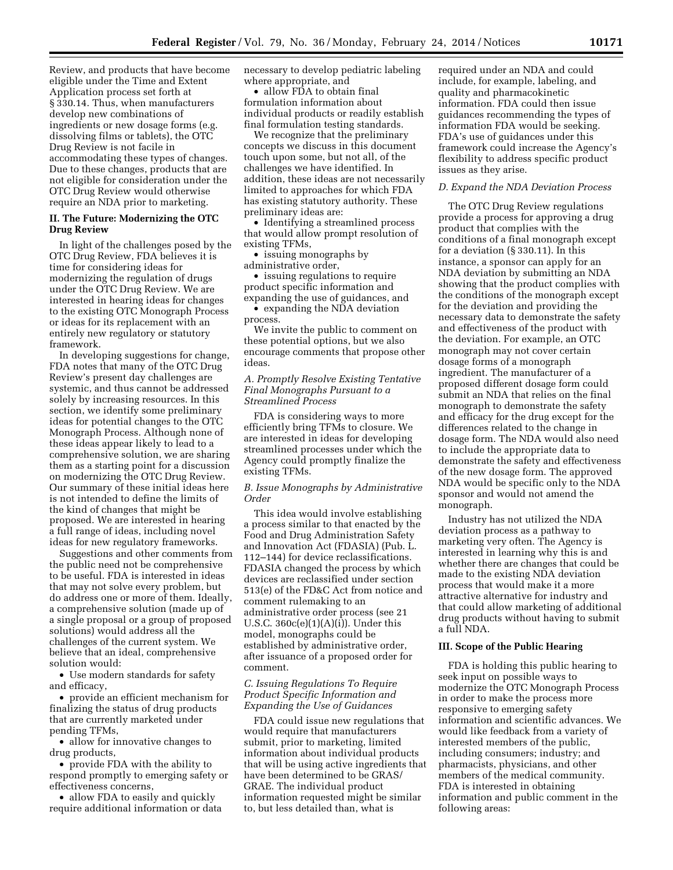Review, and products that have become eligible under the Time and Extent Application process set forth at § 330.14. Thus, when manufacturers develop new combinations of ingredients or new dosage forms (e.g. dissolving films or tablets), the OTC Drug Review is not facile in accommodating these types of changes. Due to these changes, products that are not eligible for consideration under the OTC Drug Review would otherwise require an NDA prior to marketing.

## **II. The Future: Modernizing the OTC Drug Review**

In light of the challenges posed by the OTC Drug Review, FDA believes it is time for considering ideas for modernizing the regulation of drugs under the OTC Drug Review. We are interested in hearing ideas for changes to the existing OTC Monograph Process or ideas for its replacement with an entirely new regulatory or statutory framework.

In developing suggestions for change, FDA notes that many of the OTC Drug Review's present day challenges are systemic, and thus cannot be addressed solely by increasing resources. In this section, we identify some preliminary ideas for potential changes to the OTC Monograph Process. Although none of these ideas appear likely to lead to a comprehensive solution, we are sharing them as a starting point for a discussion on modernizing the OTC Drug Review. Our summary of these initial ideas here is not intended to define the limits of the kind of changes that might be proposed. We are interested in hearing a full range of ideas, including novel ideas for new regulatory frameworks.

Suggestions and other comments from the public need not be comprehensive to be useful. FDA is interested in ideas that may not solve every problem, but do address one or more of them. Ideally, a comprehensive solution (made up of a single proposal or a group of proposed solutions) would address all the challenges of the current system. We believe that an ideal, comprehensive solution would:

• Use modern standards for safety and efficacy,

• provide an efficient mechanism for finalizing the status of drug products that are currently marketed under pending TFMs,

• allow for innovative changes to drug products,

• provide FDA with the ability to respond promptly to emerging safety or effectiveness concerns,

• allow FDA to easily and quickly require additional information or data necessary to develop pediatric labeling where appropriate, and

• allow FDA to obtain final formulation information about individual products or readily establish final formulation testing standards.

We recognize that the preliminary concepts we discuss in this document touch upon some, but not all, of the challenges we have identified. In addition, these ideas are not necessarily limited to approaches for which FDA has existing statutory authority. These preliminary ideas are:

• Identifying a streamlined process that would allow prompt resolution of existing TFMs,

• issuing monographs by administrative order,

• issuing regulations to require product specific information and expanding the use of guidances, and

• expanding the NDA deviation process.

We invite the public to comment on these potential options, but we also encourage comments that propose other ideas.

## *A. Promptly Resolve Existing Tentative Final Monographs Pursuant to a Streamlined Process*

FDA is considering ways to more efficiently bring TFMs to closure. We are interested in ideas for developing streamlined processes under which the Agency could promptly finalize the existing TFMs.

*B. Issue Monographs by Administrative Order* 

This idea would involve establishing a process similar to that enacted by the Food and Drug Administration Safety and Innovation Act (FDASIA) (Pub. L. 112–144) for device reclassifications. FDASIA changed the process by which devices are reclassified under section 513(e) of the FD&C Act from notice and comment rulemaking to an administrative order process (see 21 U.S.C. 360c(e)(1)(A)(i)). Under this model, monographs could be established by administrative order, after issuance of a proposed order for comment.

## *C. Issuing Regulations To Require Product Specific Information and Expanding the Use of Guidances*

FDA could issue new regulations that would require that manufacturers submit, prior to marketing, limited information about individual products that will be using active ingredients that have been determined to be GRAS/ GRAE. The individual product information requested might be similar to, but less detailed than, what is

required under an NDA and could include, for example, labeling, and quality and pharmacokinetic information. FDA could then issue guidances recommending the types of information FDA would be seeking. FDA's use of guidances under this framework could increase the Agency's flexibility to address specific product issues as they arise.

## *D. Expand the NDA Deviation Process*

The OTC Drug Review regulations provide a process for approving a drug product that complies with the conditions of a final monograph except for a deviation (§ 330.11). In this instance, a sponsor can apply for an NDA deviation by submitting an NDA showing that the product complies with the conditions of the monograph except for the deviation and providing the necessary data to demonstrate the safety and effectiveness of the product with the deviation. For example, an OTC monograph may not cover certain dosage forms of a monograph ingredient. The manufacturer of a proposed different dosage form could submit an NDA that relies on the final monograph to demonstrate the safety and efficacy for the drug except for the differences related to the change in dosage form. The NDA would also need to include the appropriate data to demonstrate the safety and effectiveness of the new dosage form. The approved NDA would be specific only to the NDA sponsor and would not amend the monograph.

Industry has not utilized the NDA deviation process as a pathway to marketing very often. The Agency is interested in learning why this is and whether there are changes that could be made to the existing NDA deviation process that would make it a more attractive alternative for industry and that could allow marketing of additional drug products without having to submit a full NDA.

### **III. Scope of the Public Hearing**

FDA is holding this public hearing to seek input on possible ways to modernize the OTC Monograph Process in order to make the process more responsive to emerging safety information and scientific advances. We would like feedback from a variety of interested members of the public, including consumers; industry; and pharmacists, physicians, and other members of the medical community. FDA is interested in obtaining information and public comment in the following areas: